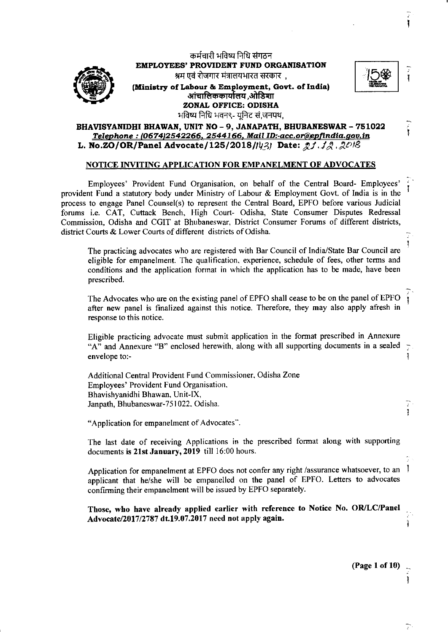

कर्मचारी भविष्य निधि संगठन **EMPLOYEES' PROVIDENT** FUND **ORGANISATION**  श्रम एवं रोजगार मंत्रालयभारत सरकार),



-~

Ţ

Ţ Ţ

-1

ï

Ī

**(Ministry of Labour** & En;lloyment, **Govt. of India)**  एवं रोजगार मंत्रालयभारत सरकार<br>ibour & Employment, Go<br>आंचालिककार्यालय ,ओडिशा<br>ONAL OFFICE: ODISHA **ZONAL** OFFICE: **ODISHA**  भविष्य निधि भवन९- युनिट सं,जनपथ,

## BHAVISYANIDHI **BHAWAN,** UNIT NO - 9, JANAPATH, **BHUBANESWAR** - 751022 *Telephone:* **I0674J.2542266. 2544166.** *Mail ID:-acc.or@epfindia.qov.in*  **L. No.ZO/OR/Panel Advocate/125/2018//02/ Date: 21.12.2018**

## **NOTICE INVITING APPLICATION FOR EMPANELMENT OF ADVOCATES**

Employees' Provident Fund Organisation, on behalf of the Central Board- Employees' provident Fund a statutory body under Ministry of Labour & Employment Govt. of India is in the process to engage Panel Counsel(s) to represent the Central Board, EPFO before various Judicial forums i.e. CAT, Cuttack Bench, High Court- Odisha, State Consumer Disputes Redressal Commission, Odisha and CGIT at Bhubaneswar, District Consumer Forums of different districts, district Courts & Lower Courts of different districts of Odisha.

The practicing advocates who are registered with Bar Council of India/State Bar Council are eligible for empanelment. The qualification. experience, schedule of fees, other terms and conditions and the application format in which the application has to be made, have been prescribed.

The Advocates who are on the existing panel of EPFO shall cease to be on the panel of EPFO after new panel is finalized against this notice. Therefore, they may also apply afresh in response to this notice.

Eligible practicing advocate must submit application in the format prescribed in Annexure "A" and Annexure "B" enclosed herewith, along with all supporting documents in a sealed envelope to:- J

Additional Central Provident Fund Commissioner, Odisha Zone Employees' Provident Fund Organisation. Bhavishyanidhi Bhawan, Unit-IX, Janpath, Bhubaneswar-751022, Odisha.

"Application for empanelment of Advocates".

The last date of receiving Applications in the prescribed format along with supporting documents **is 21st January, 2019** till 16:00 hours.

Application for empanelment at EPFO does not confer any right /assurance whatsoever, to an applicant that he/she will be empanelled on the panel of EPFO. Letters to advocates confirming their empanelment will be issued by EPFO separately.

**Those, who have already applied earlier with reference to Notice No. OR/LC/Panel Advocate/2017/2787 dt.19.07.2017 need not apply again.** 

**(Page 1 of 10)** \_

Þ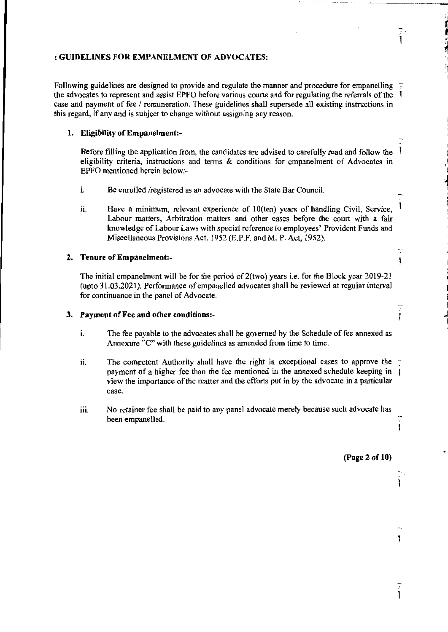### : **GUIDELINES FOR EMP ANELMENT OF ADVOCATES:**

Following guidelines are designed to provide and regulate the manner and procedure for empanelling  $\therefore$ the advocates to represent and assist EPFO before various courts and for regulating the referrals of the case and payment of fee/ remuneration. These guidelines shall supersede all existing instructions in this regard, if any and is subject to change without assigning any reason.

## **1. Eligibility of Empanelment:-**

Before filling the application from, the candidates are advised to carefully read and follow the Ŧ eligibility criteria, instructions and tenns & conditions for empanelment of Advocates in EPFO mentioned herein below:-

- i. Be enrolled /registered as an advocate with the State Bar Council.
- ii. Have a minimum, relevant experience of 10(ten) years of handling Civil, Service, Labour matters, Arbitration matters and other cases before the court with a fair knowledge of Labour Laws with special reference to employees' Provident Funds and Miscellaneous Provisions Act. 1952 (E.P.F. and M. P. Act, 1952).

## **2. Tenure of Empanelment:-**

The initial empanelment will be for the period of 2(two) years i.e. for the Block year 2019-21 (upto 31 .03.2021). Performance of empanelled advocates shall be reviewed at regular interval for continuance in the panel of Advocate.

### **3. Payment of Fee and other conditions:-**

- 1. The fee payable to the advocates shall be governed by the Schedule of fee annexed as Annexure "C" with these guidelines as amended from time to time.
- ii. The competent Authority shall have the right in exceptional cases to approve the payment of a higher fee than the fee mentioned in the annexed schedule keeping in view the importance of the matter and the efforts put in by the advocate in a particular case.
- iii. No retainer fee shall be paid to any panel advocate merely because such advocate has been empanelled.

### **(Page 2 of 10)**

 $\ddot{\cdot}$ 

Ī

.<br>اب<br>ا

i I *l* 

I ... I I

Ĭ

Ĭ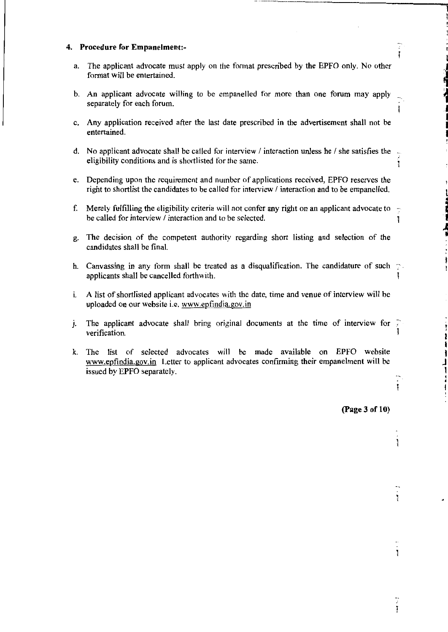### **4. Procedure for Empanelment:-**

- a. The applicant advocate must apply on the format prescribed by the EPFO only. No other format will be entertained.
- b. An applicant advocate willing to be empanelled for more than one forum may apply separately for each forum.
- c. Any application received after the last date prescribed in the advertisement shall not be entertained.
- **d.** No applicant advocate shall be called for interview / interaction unless he / she satisfies the eligibility conditions and is shortlisted for the same.
- e. Depending upon the requirement and number of applications received, EPFO reserves the right to shortlist the candidates to be called for interview / interaction and to be empanelled.
- f. Merely fulfilling the eligibility criteria will not confer any right on an applicant advocate to be called for interview / interaction and to be selected.
- g. The decision of the competent authority regarding short listing and selection of the candidates shall be final.
- h. Canvassing in any form shall be treated as a disqualification. The candidature of such applicants shall be cancelled forthwith. I
- 1. A list of shortlisted applicant advocates with the date, time and venue of interview will be uploaded on our website i.e. www.epfindia.gov.in
- **j.** The applicant advocate shall bring original documents at the time of interview for verification.
- k. The list of selected advocates will be made available on EPFO website www.epfindia.gov.in Letter to applicant advocates confirming their empanelment will be issued by EPFO separately.

**(Page 3 of 10)** 

ţ

Ţ

Ĭ

......... \_\_\_ , \_\_\_\_ , \_\_ ,\_, \_\_ ,\_, \_\_\_\_\_\_\_\_\_\_\_\_\_ \_

ţ

,, j

 $\ddot{\phantom{a}}$ 

**ing the second set of** 

 $\sum_{i=1}^{n}$ 

2 I I J 1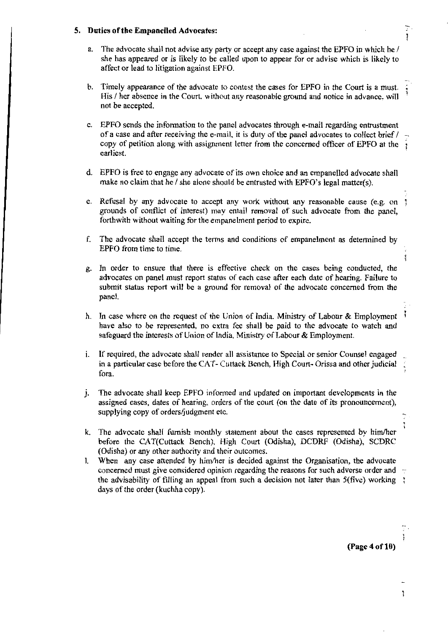### **5. Duties of the Empanelled Advocates:**

- a. The advocate shall not advise any party or accept any case against the EPFO in which he / she has appeared or is likely to be called upon to appear for or advise which is likely to affect or lead to litigation against EPFO.
- b. Timely appearance of the advocate to contest the cases for EPFO in the Court is a must. His / her absence in the Court. without any reasonable ground and notice in advance, will not be accepted.
- c. EPFO sends the information to the panel advocates through e-mail regarding entrustment of a case and after receiving the e-mail, it is duty of the panel advocates to collect brief/ copy of petition along with assignment letter from the concerned officer of EPFO at the earliest.
- d. EPFO is free to engage any advocate of its own choice and an empanelled advocate shall make no claim that he / she alone should be entrusted with EPFO's legal matter(s).
- e. Refusal by any advocate to accept any work without any reasonable cause (e.g. on 3 grounds of conflict of interest) may entail removal of such advocate from the panel, forthwith without waiting for the empanelment period to expire.
- f. The advocate shall accept the terms and conditions of empanelment as determined by EPFO from time to time.
- g. 1n order to ensure that there is effective check on the cases being conducted, the advocates on panel must report status of each case after each date of hearing. Failure to submit status report will be a ground for removal of the advocate concerned from the panel.
- h. In case where on the request of the Union of India. Ministry of Labour & Employment have also to be represented, no extra fee shall be paid to the advocate to watch and safeguard the interests of Union of lndia, Ministry of Labour & Employment.
- 1. If required, the advocate shall render all assistance to Special or senior Counsel engaged in a particular case before the CAT- Cuttack Bench, High Court· Orissa and other judicial fora.
- J. The advocate shall keep EPFO informed and updated on important developments in the assigned cases, dates of hearing, orders of the court (on the date of its pronouncement), supplying copy of orders/judgment etc.
- k. The advocate shall furnish monthly statement about the cases represented by him/her before the CAT(Cuttack Bench), High Court (Odisha), DCDRF (Odisha), SCDRC (Odisha) or any other authority and their outcomes.
- l. When any case attended by him/her is decided against the Organisation, the advocate concerned must give considered opinion regarding the reasons for such adverse order and  $\sim$ the advisability of filling an appeal from such a decision not later than  $5(five)$  working  $\ddot{i}$ days of the order (kuchha copy).

**(Page 4 of 10)** 

÷,

Ţ ï

I

H

Ì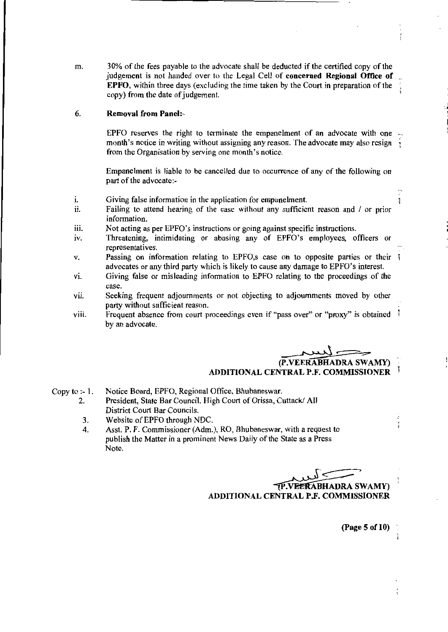m. 30% of the fees payable to the advocate shall be deducted if the certified copy of the judgement is not handed over to the Legal Cell of **concerned Regional Office of EPFO,** within three days (excluding the time taken by the Court in preparation of the copy) from the date of judgement.

#### 6. **Removal from Panel:-**

EPFO reserves the right to terminate the empanelment of an advocate with one month's notice in writing without assigning any reason. The advocate may also resign from the Organisation by serving one month's notice.

Empanelment is liable to be cancelled due to occurrence of any of the following on part of the advocate:-

- I. Giving false information in the application for empanelment.
- 11. Failing to attend hearing of the case without any sufficient reason and / or prior information.
- iii. Not acting as per EPFO's instructions or going against specific instructions.
- IV. Threatening, intimidating or abusing any of EPFO's employees, officers or representatives.
- v. Passing on information relating to EPFO, scase on to opposite parties or their  $\ddagger$ advocates or any third party which is likely to cause any damage to EPFO's interest.
- vi. Giving false or misleading information to EPFO relating to the proceedings of the case.
- vii. Seeking frequent adjournments or not objecting to adjournments moved by other party without sufficient reason.
- viii. Frequent absence from court proceedings even if "pass over" or "proxy" is obtained by an advocate.

**(P.VEERABHADRA SWAMY) ADDITIONAL CENTRAL P.F. COMMISSIONER** 

Copy to  $-1$ . Notice Board, EPFO, Regional Office, Bhubaneswar.

- 2. President, State Bar Council, High Court of Orissa, Cuttack/ All District Court Bar Councils.
- 3. Website of EPFO through NDC.
- 4. Asst. P. F. Commissioner (Adm.), RO, Bhubaneswar, with a request to publish the Matter in a prominent News Daily of the State as a Press Note.

س<br>سيكسيد **P.VEERABHADRA SWAMY) ADDITIONAL CENTRAL P.F. COMMISSIONER** 

**(Page 5 of 10)** 

3

ğ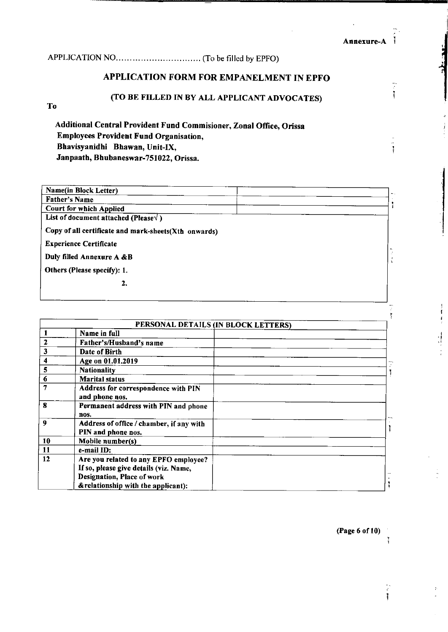Ĩ

ţ

ą.

APPLICATIONNO ............................... (To be filled by EPFO)

# APPLICATION FORM FOR EMPANELMENT IN EPFO

## (TO BE FILLED IN BY ALL APPLICANT ADVOCATES)

To

Additional Central Provident Fund Commisioner, Zonal Office, Orissa Employees Provident Fund Organisation, Bhavisyanidhi Bhawan, Unit-IX, Janpaath, Bhubaneswar-751022, Orissa.

| Name(in Block Letter)                                |  |
|------------------------------------------------------|--|
| <b>Father's Name</b>                                 |  |
| <b>Court for which Applied</b>                       |  |
| List of document attached (Please $\sqrt{}$ )        |  |
| Copy of all certificate and mark-sheets(Xth onwards) |  |
| <b>Experience Certificate</b>                        |  |
| Duly filled Annexure A &B                            |  |
| Others (Please specify): 1.                          |  |
| 2.                                                   |  |
|                                                      |  |

|    |                                                                                                                                                      | PERSONAL DETAILS (IN BLOCK LETTERS) |  |
|----|------------------------------------------------------------------------------------------------------------------------------------------------------|-------------------------------------|--|
|    | Name in full                                                                                                                                         |                                     |  |
| 2  | Father's/Husband's name                                                                                                                              |                                     |  |
| 3  | Date of Birth                                                                                                                                        |                                     |  |
| 4  | Age on 01.01.2019                                                                                                                                    |                                     |  |
| 5  | <b>Nationality</b>                                                                                                                                   |                                     |  |
| 6  | <b>Marital status</b>                                                                                                                                |                                     |  |
| 7  | Address for correspondence with PIN<br>and phone nos.                                                                                                |                                     |  |
| x  | Permanent address with PIN and phone<br>nos.                                                                                                         |                                     |  |
| 9  | Address of office / chamber, if any with<br>PIN and phone nos.                                                                                       |                                     |  |
| 10 | Mobile number(s)                                                                                                                                     |                                     |  |
| 11 | e-mail ID:                                                                                                                                           |                                     |  |
| 12 | Are you related to any EPFO employee?<br>If so, please give details (viz. Name,<br>Designation, Place of work<br>& relationship with the applicant): |                                     |  |

(Page 6 of 10)

Ì

 $\frac{1}{2}$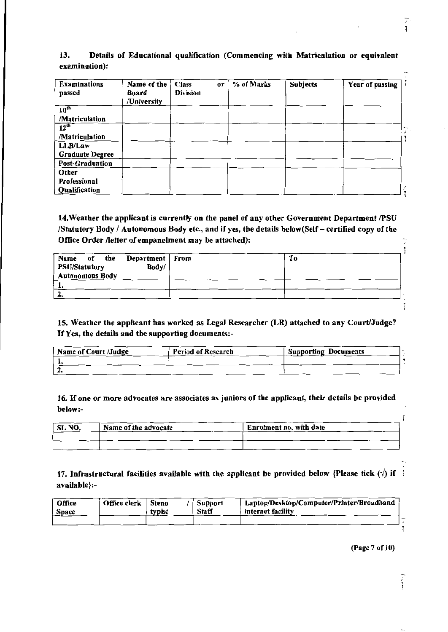| <b>Examinations</b><br>passed | Name of the<br>Board<br>/University | <b>Class</b><br><b>Division</b> | <sub>or</sub> | % of Marks | <b>Subjects</b> | Year of passing |  |
|-------------------------------|-------------------------------------|---------------------------------|---------------|------------|-----------------|-----------------|--|
| $10^{th}$                     |                                     |                                 |               |            |                 |                 |  |
| /Matriculation                |                                     |                                 |               |            |                 |                 |  |
| $12^{th}$                     |                                     |                                 |               |            |                 |                 |  |
| /Matriculation                |                                     |                                 |               |            |                 |                 |  |
| LLB/Law                       |                                     |                                 |               |            |                 |                 |  |
| <b>Graduate Degree</b>        |                                     |                                 |               |            |                 |                 |  |
| <b>Post-Graduation</b>        |                                     |                                 |               |            |                 |                 |  |
| Other                         |                                     |                                 |               |            |                 |                 |  |
| <b>Professional</b>           |                                     |                                 |               |            |                 |                 |  |
| Qualification                 |                                     |                                 |               |            |                 |                 |  |

## 13. Details of Educational qualification (Commencing with Matriculation or equivalent examination):

14.Weatber the applicant is currently on the panel of any other Government Department /PSU /Statutory Body / Autonomous Body etc., and if yes, the details below(Self - certified copy of the Office Order /letter of empanelment may be attached):

| Name of the Department From<br>Body/<br><b>PSU/Statutory</b><br><b>Autonomous Body</b> | Tо |
|----------------------------------------------------------------------------------------|----|
|                                                                                        |    |
| 2.                                                                                     |    |

15. Weather the applicant bas worked as Legal Researcher (LR) attached to any Court/Judge? *HYes,* the details and the supporting documents:-

| Name of Court /Judge | <b>Period of Research</b> | Supporting Documents |  |
|----------------------|---------------------------|----------------------|--|
|                      |                           |                      |  |
|                      |                           |                      |  |

16. If one or more advocates are associates as juniors of the applicant, their details be provided below:-

| ∣ SL NO. | Name of the advocate | Enrolment no. with date |
|----------|----------------------|-------------------------|
|          |                      |                         |
|          |                      |                         |

17. Infrastructural facilities available with the applicant be provided below {Please tick ( $\sqrt{ }$ ) if  $\frac{4}{3}$ available}:-

| Office<br><b>Space</b> | Office clerk | <b>Steno</b><br>typist | Support<br><b>Staff</b> | Laptop/Desktop/Computer/Printer/Broadband<br>internet facility |  |
|------------------------|--------------|------------------------|-------------------------|----------------------------------------------------------------|--|
|                        |              |                        |                         |                                                                |  |

(Page 7 of 10)

ĭ

Ţ

 $\ddot{i}$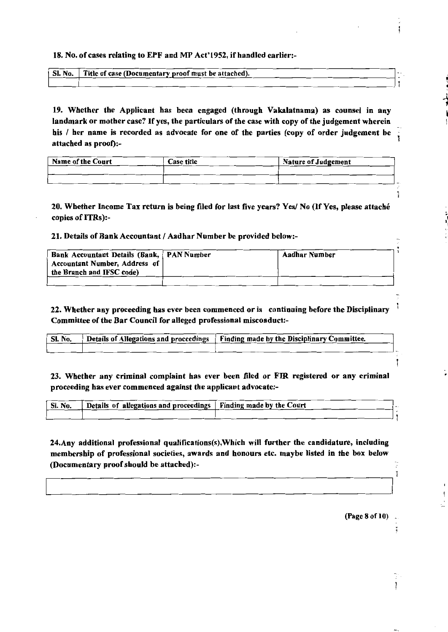### 18. No. of cases relating to EPF and MP Act' 1952, if handled earlier:-

| SI. No.   Title of case (Documentary proof must be attached). |  |
|---------------------------------------------------------------|--|
|                                                               |  |

19. Whether the Applicant has been engaged (through Vakalatnama) as counsel in any landmark or mother case? If yes, the particulars of the case with copy of the judgement wherein his / her name is recorded as advocate for one of the parties (copy of order judgement be attached as proof):-

| <b>Name of the Court</b> | <b>Case title</b> | <b>Nature of Judgement</b> |
|--------------------------|-------------------|----------------------------|
|                          |                   |                            |
|                          |                   |                            |

20. Whether Income Tax return is being filed for last five years? Yes/ No (If Yes, please attache copies of ITRs):-

### 21. Details of **Bank** Accountant/ Aadhar Number be provided below:-

| Bank Accountant Details (Bank,   PAN Number                | Aadhar Number |
|------------------------------------------------------------|---------------|
| Accountant Number, Address of<br>the Branch and IFSC code) |               |
|                                                            |               |

22. Whether any proceeding bas ever been commenced or is continuing before the Disciplinary Committee of the Bar Council for alleged professional misconduct:-

| SI. No. | Details of Allegations and proceedings   Finding made by the Disciplinary Committee. |  |
|---------|--------------------------------------------------------------------------------------|--|
|         |                                                                                      |  |

23. Whether any criminal complaint has ever been filed or FIR registered or any criminal proceeding bas ever commenced against the applicant advocate:-

| ' Sl. No. | Details of allegations and proceedings   Finding made by the Court |  |
|-----------|--------------------------------------------------------------------|--|
|           |                                                                    |  |
|           |                                                                    |  |

24.Any additional professional qualifications(s),Which will further the candidature, including membership of professional societies, awards and honours etc. maybe listed in the box below (Documentary proof should be attached):-

(Page 8 of 10) \_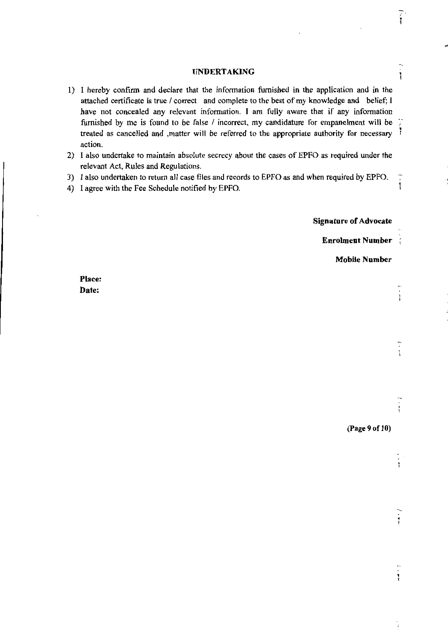### **UNDERTAKING**

- 1) I hereby confirm and declare that the infonnation furnished in the application and in the attached certificate is true / correct and complete to the best of my knowledge and belief; I have not concealed any relevant information. I am fully aware that if any information furnished by me is found to be false / incorrect, my candidature for empanelment will be treated as cancelled and ,matter will be referred to the appropriate authority for necessary 1 action.
- 2) I also undertake to maintain absolute secrecy about the cases of EPFO as required under the relevant Act, Rules and Regulations.
- 3) I also undertaken to return all case files and records to EPFO as and when required by EPFO.
- 4) I agree with the Fee Schedule notified by EPFO.

**Signature of Advocate** 

**Enrolment Number** 

**Mobile Number** 

Ĩ

Ĭ

 $\begin{array}{c} \bullet \\ \bullet \\ \bullet \end{array}$ 

J,

**Place: Date:** 

**(Page 9 of 10)**